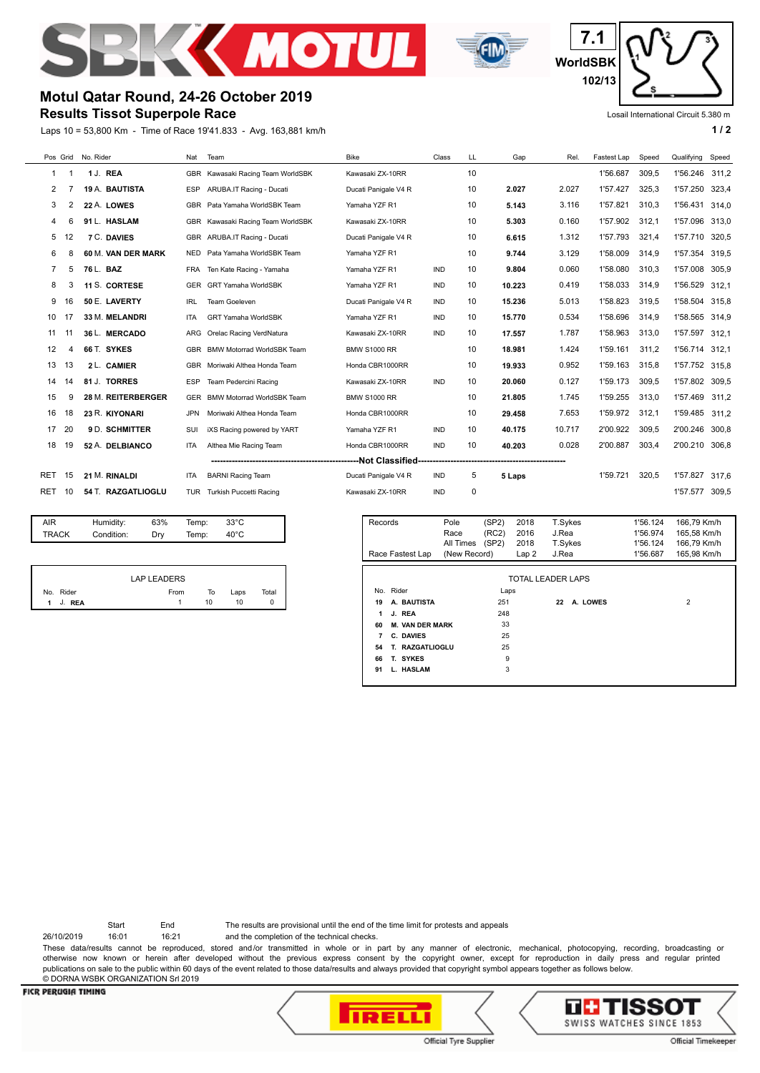



**WorldSBK 7.1 102/13**

## **Motul Qatar Round, 24-26 October 2019**

## **Results Tissot Superpole Race**

Laps 10 = 53,800 Km - Time of Race 19'41.833 - Avg. 163,881 km/h **1 and 1 and 1 and 1 and 1 a** 1 a

Losail International Circuit 5.380 m

| Pos Grid |                         | No. Rider          | Nat        | Team                              | <b>Bike</b>          | Class      | LL | Gap    | Rel.   | Fastest Lap | Speed | Qualifying | Speed |
|----------|-------------------------|--------------------|------------|-----------------------------------|----------------------|------------|----|--------|--------|-------------|-------|------------|-------|
| 1        |                         | 1 J. REA           | <b>GBR</b> | Kawasaki Racing Team WorldSBK     | Kawasaki ZX-10RR     |            | 10 |        |        | 1'56.687    | 309,5 | 1'56.246   | 311.2 |
| 2        |                         | 19 A. BAUTISTA     | <b>ESP</b> | ARUBA.IT Racing - Ducati          | Ducati Panigale V4 R |            | 10 | 2.027  | 2.027  | 1'57.427    | 325.3 | 1'57.250   | 323.4 |
| 3        | 2                       | 22 A. LOWES        | <b>GBR</b> | Pata Yamaha WorldSBK Team         | Yamaha YZF R1        |            | 10 | 5.143  | 3.116  | 1'57.821    | 310,3 | 1'56.431   | 314,0 |
| 4        |                         | 91 L. HASLAM       | <b>GBR</b> | Kawasaki Racing Team WorldSBK     | Kawasaki ZX-10RR     |            | 10 | 5.303  | 0.160  | 1'57.902    | 312.1 | 1'57.096   | 313.0 |
| 5        | 12                      | <b>7 C. DAVIES</b> | <b>GBR</b> | ARUBA.IT Racing - Ducati          | Ducati Panigale V4 R |            | 10 | 6.615  | 1.312  | 1'57.793    | 321.4 | 1'57.710   | 320.5 |
| 6        | 8                       | 60 M. VAN DER MARK | <b>NED</b> | Pata Yamaha WorldSBK Team         | Yamaha YZF R1        |            | 10 | 9.744  | 3.129  | 1'58.009    | 314,9 | 1'57.354   | 319.5 |
|          | 5                       | 76 L. BAZ          | FRA        | Ten Kate Racing - Yamaha          | Yamaha YZF R1        | <b>IND</b> | 10 | 9.804  | 0.060  | 1'58.080    | 310.3 | 1'57.008   | 305.9 |
| 8        | 3                       | 11 S. CORTESE      | <b>GER</b> | <b>GRT Yamaha WorldSBK</b>        | Yamaha YZF R1        | <b>IND</b> | 10 | 10.223 | 0.419  | 1'58.033    | 314,9 | 1'56.529   | 312.1 |
| 9        | 16                      | 50 E. LAVERTY      | <b>IRL</b> | Team Goeleven                     | Ducati Panigale V4 R | IND        | 10 | 15.236 | 5.013  | 1'58.823    | 319,5 | 1'58.504   | 315,8 |
| 10       | 17                      | 33 M. MELANDRI     | ITA        | <b>GRT Yamaha WorldSBK</b>        | Yamaha YZF R1        | <b>IND</b> | 10 | 15.770 | 0.534  | 1'58.696    | 314.9 | 1'58.565   | 314.9 |
| 11       |                         | 36 L. MERCADO      | ARG        | Orelac Racing VerdNatura          | Kawasaki ZX-10RR     | <b>IND</b> | 10 | 17.557 | 1.787  | 1'58.963    | 313.0 | 1'57.597   | 312.1 |
| 12       | 4                       | 66 T. SYKES        | <b>GBR</b> | <b>BMW Motorrad WorldSBK Team</b> | <b>BMW S1000 RR</b>  |            | 10 | 18.981 | 1.424  | 1'59.161    | 311.2 | 1'56.714   | 312.1 |
| 13       | 13                      | 2 L. CAMIER        | <b>GBR</b> | Moriwaki Althea Honda Team        | Honda CBR1000RR      |            | 10 | 19.933 | 0.952  | 1'59.163    | 315.8 | 1'57.752   | 315.8 |
| 14       | 14                      | 81 J. TORRES       | <b>ESP</b> | Team Pedercini Racing             | Kawasaki ZX-10RR     | <b>IND</b> | 10 | 20.060 | 0.127  | 1'59.173    | 309,5 | 1'57.802   | 309.5 |
| 15       | 9                       | 28 M. REITERBERGER | <b>GER</b> | <b>BMW Motorrad WorldSBK Team</b> | <b>BMW S1000 RR</b>  |            | 10 | 21.805 | 1.745  | 1'59.255    | 313.0 | 1'57.469   | 311.2 |
| 16       | 18                      | 23 R. KIYONARI     | <b>JPN</b> | Moriwaki Althea Honda Team        | Honda CBR1000RR      |            | 10 | 29.458 | 7.653  | 1'59.972    | 312.1 | 1'59.485   | 311.2 |
| 17       | 20                      | 9 D. SCHMITTER     | SUI        | iXS Racing powered by YART        | Yamaha YZF R1        | <b>IND</b> | 10 | 40.175 | 10.717 | 2'00.922    | 309.5 | 2'00.246   | 300.8 |
| 18       | 19                      | 52 A. DELBIANCO    | <b>ITA</b> | Althea Mie Racing Team            | Honda CBR1000RR      | <b>IND</b> | 10 | 40.203 | 0.028  | 2'00.887    | 303,4 | 2'00.210   | 306,8 |
|          | ----------------------- |                    |            |                                   |                      |            |    |        |        |             |       |            |       |
| RET      | 15                      | 21 M. RINALDI      | <b>ITA</b> | <b>BARNI Racing Team</b>          | Ducati Panigale V4 R | IND        | 5  | 5 Laps |        | 1'59.721    | 320.5 | 1'57.827   | 317.6 |
| RET      | 10                      | 54 T. RAZGATLIOGLU |            | TUR Turkish Puccetti Racing       | Kawasaki ZX-10RR     | <b>IND</b> | 0  |        |        |             |       | 1'57.577   | 309,5 |

| TRACK<br>Condition:<br>40°C<br>Temp:<br>Drv | AIR | Humidity: | 63% | Temp: | 33°C |  |
|---------------------------------------------|-----|-----------|-----|-------|------|--|
|                                             |     |           |     |       |      |  |

|   |           | <b>LAP LEADERS</b> |    |      |       |
|---|-----------|--------------------|----|------|-------|
|   | No. Rider | From               | To | Laps | Total |
| 1 | J. REA    |                    | 10 | 10   | 0     |

| Records   | Race Fastest Lap       | Pole<br>Race<br>All Times<br>(New Record) | (SP2)<br>(RC2)<br>(SP2) | 2018<br>2016<br>2018<br>Lap2 | T.Sykes<br>J.Rea<br>T.Sykes<br>J.Rea |          | 1'56.124<br>1'56.974<br>1'56.124<br>1'56.687 | 166,79 Km/h<br>165.58 Km/h<br>166,79 Km/h<br>165.98 Km/h |
|-----------|------------------------|-------------------------------------------|-------------------------|------------------------------|--------------------------------------|----------|----------------------------------------------|----------------------------------------------------------|
|           |                        |                                           |                         | TOTAL LEADER LAPS            |                                      |          |                                              |                                                          |
| No. Rider |                        |                                           | Laps                    |                              |                                      |          |                                              |                                                          |
| 19        | A. BAUTISTA            |                                           | 251                     |                              | 22                                   | A. LOWES |                                              | $\overline{2}$                                           |
| 1         | J. REA                 |                                           | 248                     |                              |                                      |          |                                              |                                                          |
| 60        | <b>M. VAN DER MARK</b> |                                           | 33                      |                              |                                      |          |                                              |                                                          |
| 7         | C. DAVIES              |                                           | 25                      |                              |                                      |          |                                              |                                                          |
| 54        | T. RAZGATLIOGLU        |                                           | 25                      |                              |                                      |          |                                              |                                                          |
| 66        | T. SYKES               |                                           | 9                       |                              |                                      |          |                                              |                                                          |
| 91        | L. HASLAM              |                                           | 3                       |                              |                                      |          |                                              |                                                          |

Start End The results are provisional until the end of the time limit for protests and appeals

26/10/2019 16:01 16:21 and the completion of the technical checks.

These data/results cannot be reproduced, stored and/or transmitted in whole or in part by any manner of electronic, mechanical, photocopying, recording, broadcasting or otherwise now known or herein after developed without the previous express consent by the copyright owner, except for reproduction in daily press and regular printed publications on sale to the public within 60 days of the event related to those data/results and always provided that copyright symbol appears together as follows below. © DORNA WSBK ORGANIZATION Srl 2019

## **FICR PERUGIA TIMING**